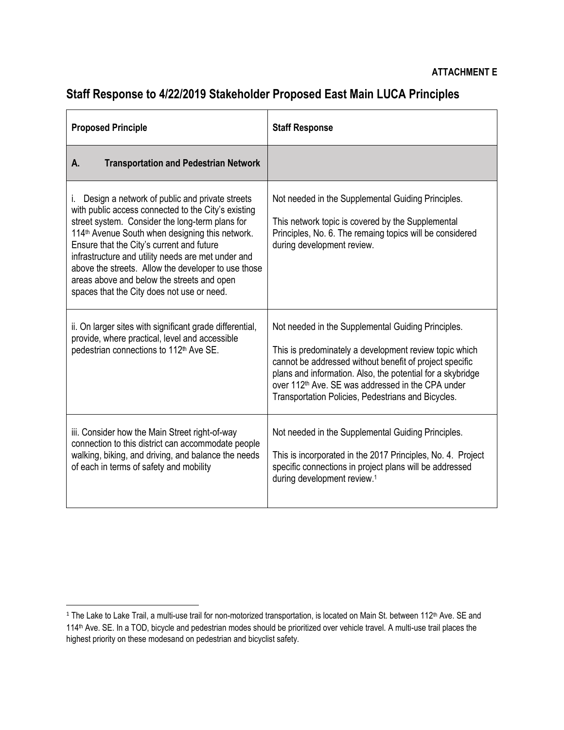## **Staff Response to 4/22/2019 Stakeholder Proposed East Main LUCA Principles**

| <b>Proposed Principle</b>                                                                                                                                                                                                                                                                                                                                                                                                                                                           | <b>Staff Response</b>                                                                                                                                                                                                                                                                                                                                        |
|-------------------------------------------------------------------------------------------------------------------------------------------------------------------------------------------------------------------------------------------------------------------------------------------------------------------------------------------------------------------------------------------------------------------------------------------------------------------------------------|--------------------------------------------------------------------------------------------------------------------------------------------------------------------------------------------------------------------------------------------------------------------------------------------------------------------------------------------------------------|
| <b>Transportation and Pedestrian Network</b><br>А.                                                                                                                                                                                                                                                                                                                                                                                                                                  |                                                                                                                                                                                                                                                                                                                                                              |
| Design a network of public and private streets<br>Ĺ.<br>with public access connected to the City's existing<br>street system. Consider the long-term plans for<br>114 <sup>th</sup> Avenue South when designing this network.<br>Ensure that the City's current and future<br>infrastructure and utility needs are met under and<br>above the streets. Allow the developer to use those<br>areas above and below the streets and open<br>spaces that the City does not use or need. | Not needed in the Supplemental Guiding Principles.<br>This network topic is covered by the Supplemental<br>Principles, No. 6. The remaing topics will be considered<br>during development review.                                                                                                                                                            |
| ii. On larger sites with significant grade differential,<br>provide, where practical, level and accessible<br>pedestrian connections to 112 <sup>th</sup> Ave SE.                                                                                                                                                                                                                                                                                                                   | Not needed in the Supplemental Guiding Principles.<br>This is predominately a development review topic which<br>cannot be addressed without benefit of project specific<br>plans and information. Also, the potential for a skybridge<br>over 112 <sup>th</sup> Ave. SE was addressed in the CPA under<br>Transportation Policies, Pedestrians and Bicycles. |
| iii. Consider how the Main Street right-of-way<br>connection to this district can accommodate people<br>walking, biking, and driving, and balance the needs<br>of each in terms of safety and mobility                                                                                                                                                                                                                                                                              | Not needed in the Supplemental Guiding Principles.<br>This is incorporated in the 2017 Principles, No. 4. Project<br>specific connections in project plans will be addressed<br>during development review. <sup>1</sup>                                                                                                                                      |

l

 $1$  The Lake to Lake Trail, a multi-use trail for non-motorized transportation, is located on Main St. between 112<sup>th</sup> Ave. SE and 114th Ave. SE. In a TOD, bicycle and pedestrian modes should be prioritized over vehicle travel. A multi-use trail places the highest priority on these modesand on pedestrian and bicyclist safety.